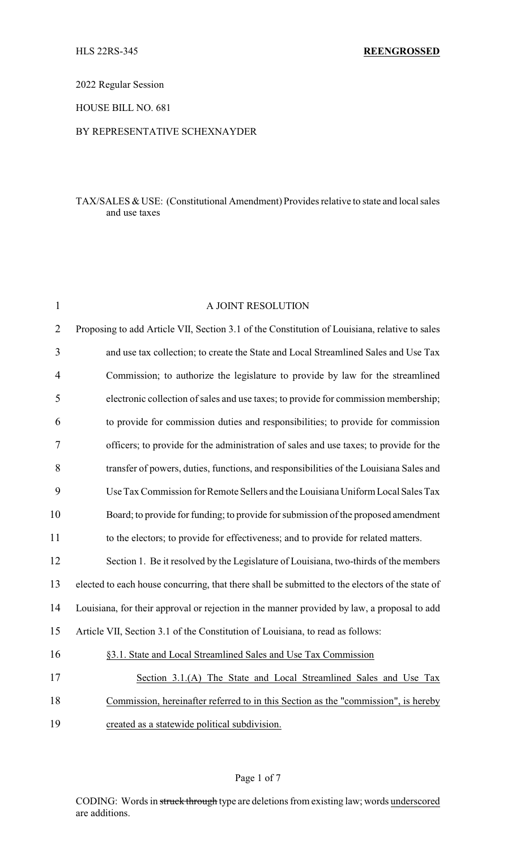2022 Regular Session

HOUSE BILL NO. 681

## BY REPRESENTATIVE SCHEXNAYDER

## TAX/SALES & USE: (Constitutional Amendment) Provides relative to state and local sales and use taxes

| $\mathbf{1}$   | A JOINT RESOLUTION                                                                              |
|----------------|-------------------------------------------------------------------------------------------------|
| $\overline{2}$ | Proposing to add Article VII, Section 3.1 of the Constitution of Louisiana, relative to sales   |
| 3              | and use tax collection; to create the State and Local Streamlined Sales and Use Tax             |
| $\overline{4}$ | Commission; to authorize the legislature to provide by law for the streamlined                  |
| 5              | electronic collection of sales and use taxes; to provide for commission membership;             |
| 6              | to provide for commission duties and responsibilities; to provide for commission                |
| 7              | officers; to provide for the administration of sales and use taxes; to provide for the          |
| 8              | transfer of powers, duties, functions, and responsibilities of the Louisiana Sales and          |
| 9              | Use Tax Commission for Remote Sellers and the Louisiana Uniform Local Sales Tax                 |
| 10             | Board; to provide for funding; to provide for submission of the proposed amendment              |
| 11             | to the electors; to provide for effectiveness; and to provide for related matters.              |
| 12             | Section 1. Be it resolved by the Legislature of Louisiana, two-thirds of the members            |
| 13             | elected to each house concurring, that there shall be submitted to the electors of the state of |
| 14             | Louisiana, for their approval or rejection in the manner provided by law, a proposal to add     |
| 15             | Article VII, Section 3.1 of the Constitution of Louisiana, to read as follows:                  |
| 16             | §3.1. State and Local Streamlined Sales and Use Tax Commission                                  |
| 17             | Section 3.1.(A) The State and Local Streamlined Sales and Use Tax                               |
| 18             | Commission, hereinafter referred to in this Section as the "commission", is hereby              |
| 19             | created as a statewide political subdivision.                                                   |

#### Page 1 of 7

CODING: Words in struck through type are deletions from existing law; words underscored are additions.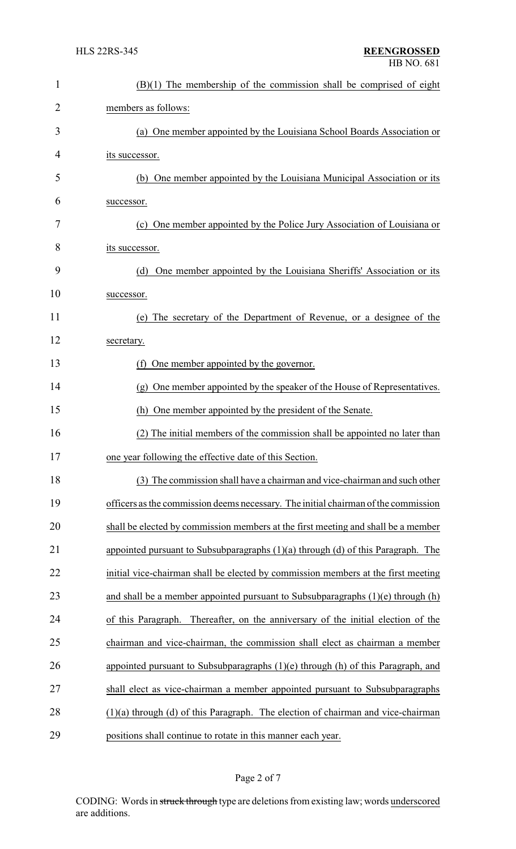| $\mathbf{1}$   | $(B)(1)$ The membership of the commission shall be comprised of eight                |  |  |  |
|----------------|--------------------------------------------------------------------------------------|--|--|--|
| $\overline{2}$ | members as follows:                                                                  |  |  |  |
| 3              | (a) One member appointed by the Louisiana School Boards Association or               |  |  |  |
| 4              | its successor.                                                                       |  |  |  |
| 5              | (b) One member appointed by the Louisiana Municipal Association or its               |  |  |  |
| 6              | successor.                                                                           |  |  |  |
| 7              | (c) One member appointed by the Police Jury Association of Louisiana or              |  |  |  |
| 8              | its successor.                                                                       |  |  |  |
| 9              | One member appointed by the Louisiana Sheriffs' Association or its<br>(d)            |  |  |  |
| 10             | successor.                                                                           |  |  |  |
| 11             | (e) The secretary of the Department of Revenue, or a designee of the                 |  |  |  |
| 12             | secretary.                                                                           |  |  |  |
| 13             | (f) One member appointed by the governor.                                            |  |  |  |
| 14             | (g) One member appointed by the speaker of the House of Representatives.             |  |  |  |
| 15             | (h) One member appointed by the president of the Senate.                             |  |  |  |
| 16             | (2) The initial members of the commission shall be appointed no later than           |  |  |  |
| 17             | one year following the effective date of this Section                                |  |  |  |
| 18             | (3) The commission shall have a chairman and vice-chairman and such other            |  |  |  |
| 19             | officers as the commission deems necessary. The initial chairman of the commission   |  |  |  |
| 20             | shall be elected by commission members at the first meeting and shall be a member    |  |  |  |
| 21             | appointed pursuant to Subsubparagraphs $(1)(a)$ through $(d)$ of this Paragraph. The |  |  |  |
| 22             | initial vice-chairman shall be elected by commission members at the first meeting    |  |  |  |
| 23             | and shall be a member appointed pursuant to Subsubparagraphs $(1)(e)$ through $(h)$  |  |  |  |
| 24             | of this Paragraph. Thereafter, on the anniversary of the initial election of the     |  |  |  |
| 25             | chairman and vice-chairman, the commission shall elect as chairman a member          |  |  |  |
| 26             | appointed pursuant to Subsubparagraphs $(1)(e)$ through $(h)$ of this Paragraph, and |  |  |  |
| 27             | shall elect as vice-chairman a member appointed pursuant to Subsubparagraphs         |  |  |  |
| 28             | $(1)(a)$ through $(d)$ of this Paragraph. The election of chairman and vice-chairman |  |  |  |
| 29             | positions shall continue to rotate in this manner each year.                         |  |  |  |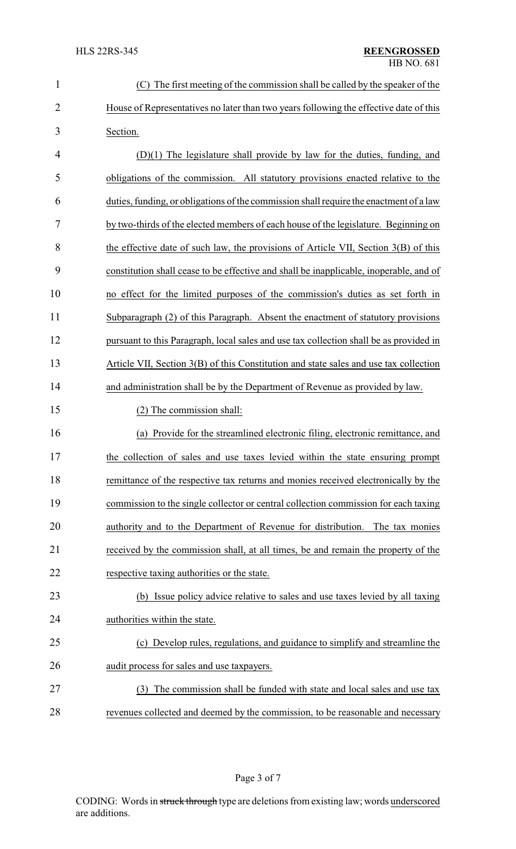| $\mathbf{1}$   | The first meeting of the commission shall be called by the speaker of the<br>(C)       |
|----------------|----------------------------------------------------------------------------------------|
| $\overline{2}$ | House of Representatives no later than two years following the effective date of this  |
| 3              | Section.                                                                               |
| 4              | $(D)(1)$ The legislature shall provide by law for the duties, funding, and             |
| 5              | obligations of the commission. All statutory provisions enacted relative to the        |
| 6              | duties, funding, or obligations of the commission shall require the enactment of a law |
| 7              | by two-thirds of the elected members of each house of the legislature. Beginning on    |
| 8              | the effective date of such law, the provisions of Article VII, Section 3(B) of this    |
| 9              | constitution shall cease to be effective and shall be inapplicable, inoperable, and of |
| 10             | no effect for the limited purposes of the commission's duties as set forth in          |
| 11             | Subparagraph (2) of this Paragraph. Absent the enactment of statutory provisions       |
| 12             | pursuant to this Paragraph, local sales and use tax collection shall be as provided in |
| 13             | Article VII, Section 3(B) of this Constitution and state sales and use tax collection  |
| 14             | and administration shall be by the Department of Revenue as provided by law.           |
| 15             | (2) The commission shall:                                                              |
| 16             | Provide for the streamlined electronic filing, electronic remittance, and<br>(a)       |
| 17             | the collection of sales and use taxes levied within the state ensuring prompt          |
| 18             | remittance of the respective tax returns and monies received electronically by the     |
| 19             | commission to the single collector or central collection commission for each taxing    |
| 20             | authority and to the Department of Revenue for distribution. The tax monies            |
| 21             | received by the commission shall, at all times, be and remain the property of the      |
| 22             | respective taxing authorities or the state.                                            |
| 23             | (b) Issue policy advice relative to sales and use taxes levied by all taxing           |
| 24             | authorities within the state.                                                          |
| 25             | (c) Develop rules, regulations, and guidance to simplify and streamline the            |
| 26             | audit process for sales and use taxpayers.                                             |
| 27             | The commission shall be funded with state and local sales and use tax<br>(3)           |
| 28             | revenues collected and deemed by the commission, to be reasonable and necessary        |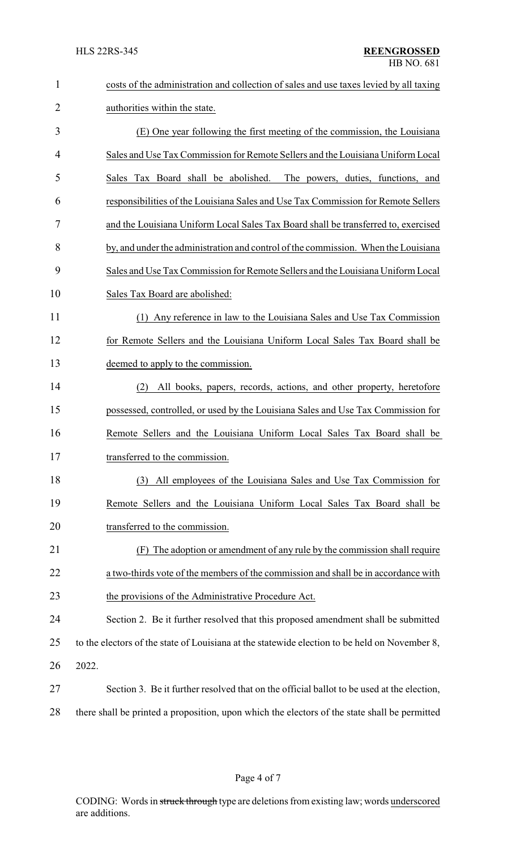| $\mathbf{1}$ | costs of the administration and collection of sales and use taxes levied by all taxing        |  |  |
|--------------|-----------------------------------------------------------------------------------------------|--|--|
| 2            | authorities within the state.                                                                 |  |  |
| 3            | (E) One year following the first meeting of the commission, the Louisiana                     |  |  |
| 4            | Sales and Use Tax Commission for Remote Sellers and the Louisiana Uniform Local               |  |  |
| 5            | Sales Tax Board shall be abolished.<br>The powers, duties, functions, and                     |  |  |
| 6            | responsibilities of the Louisiana Sales and Use Tax Commission for Remote Sellers             |  |  |
| 7            | and the Louisiana Uniform Local Sales Tax Board shall be transferred to, exercised            |  |  |
| 8            | by, and under the administration and control of the commission. When the Louisiana            |  |  |
| 9            | Sales and Use Tax Commission for Remote Sellers and the Louisiana Uniform Local               |  |  |
| 10           | Sales Tax Board are abolished:                                                                |  |  |
| 11           | (1) Any reference in law to the Louisiana Sales and Use Tax Commission                        |  |  |
| 12           | for Remote Sellers and the Louisiana Uniform Local Sales Tax Board shall be                   |  |  |
| 13           | deemed to apply to the commission.                                                            |  |  |
| 14           | All books, papers, records, actions, and other property, heretofore<br>(2)                    |  |  |
| 15           | possessed, controlled, or used by the Louisiana Sales and Use Tax Commission for              |  |  |
| 16           | Remote Sellers and the Louisiana Uniform Local Sales Tax Board shall be                       |  |  |
| 17           | transferred to the commission.                                                                |  |  |
| 18           | All employees of the Louisiana Sales and Use Tax Commission for<br>(3)                        |  |  |
| 19           | Remote Sellers and the Louisiana Uniform Local Sales Tax Board shall be                       |  |  |
| 20           | transferred to the commission.                                                                |  |  |
| 21           | The adoption or amendment of any rule by the commission shall require<br>(F)                  |  |  |
| 22           | a two-thirds vote of the members of the commission and shall be in accordance with            |  |  |
| 23           | the provisions of the Administrative Procedure Act.                                           |  |  |
| 24           | Section 2. Be it further resolved that this proposed amendment shall be submitted             |  |  |
| 25           | to the electors of the state of Louisiana at the statewide election to be held on November 8, |  |  |
| 26           | 2022.                                                                                         |  |  |
| 27           | Section 3. Be it further resolved that on the official ballot to be used at the election,     |  |  |
| 28           | there shall be printed a proposition, upon which the electors of the state shall be permitted |  |  |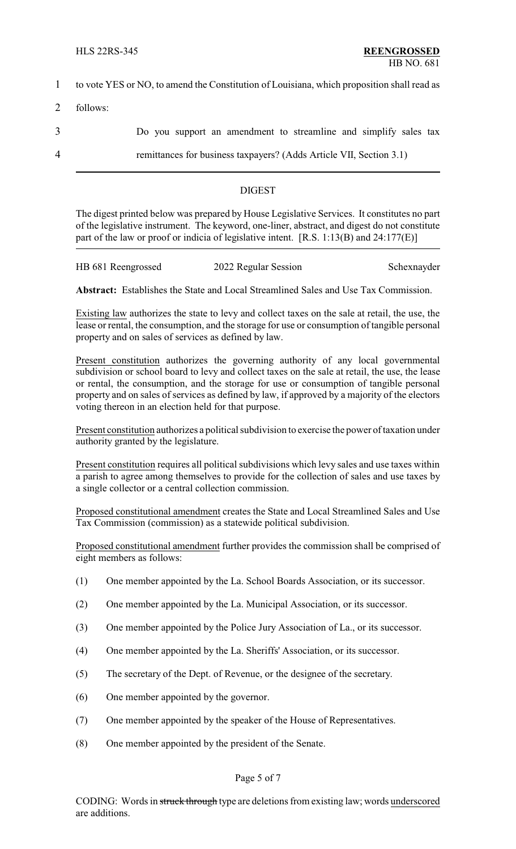- 1 to vote YES or NO, to amend the Constitution of Louisiana, which proposition shall read as
- 2 follows:

3 Do you support an amendment to streamline and simplify sales tax

4 remittances for business taxpayers? (Adds Article VII, Section 3.1)

# DIGEST

The digest printed below was prepared by House Legislative Services. It constitutes no part of the legislative instrument. The keyword, one-liner, abstract, and digest do not constitute part of the law or proof or indicia of legislative intent. [R.S. 1:13(B) and 24:177(E)]

| HB 681 Reengrossed | 2022 Regular Session | Schexnayder |
|--------------------|----------------------|-------------|
|                    |                      |             |

**Abstract:** Establishes the State and Local Streamlined Sales and Use Tax Commission.

Existing law authorizes the state to levy and collect taxes on the sale at retail, the use, the lease or rental, the consumption, and the storage for use or consumption of tangible personal property and on sales of services as defined by law.

Present constitution authorizes the governing authority of any local governmental subdivision or school board to levy and collect taxes on the sale at retail, the use, the lease or rental, the consumption, and the storage for use or consumption of tangible personal property and on sales of services as defined by law, if approved by a majority of the electors voting thereon in an election held for that purpose.

Present constitution authorizes a political subdivision to exercise the power of taxation under authority granted by the legislature.

Present constitution requires all political subdivisions which levy sales and use taxes within a parish to agree among themselves to provide for the collection of sales and use taxes by a single collector or a central collection commission.

Proposed constitutional amendment creates the State and Local Streamlined Sales and Use Tax Commission (commission) as a statewide political subdivision.

Proposed constitutional amendment further provides the commission shall be comprised of eight members as follows:

- (1) One member appointed by the La. School Boards Association, or its successor.
- (2) One member appointed by the La. Municipal Association, or its successor.
- (3) One member appointed by the Police Jury Association of La., or its successor.
- (4) One member appointed by the La. Sheriffs' Association, or its successor.
- (5) The secretary of the Dept. of Revenue, or the designee of the secretary.
- (6) One member appointed by the governor.
- (7) One member appointed by the speaker of the House of Representatives.
- (8) One member appointed by the president of the Senate.

## Page 5 of 7

CODING: Words in struck through type are deletions from existing law; words underscored are additions.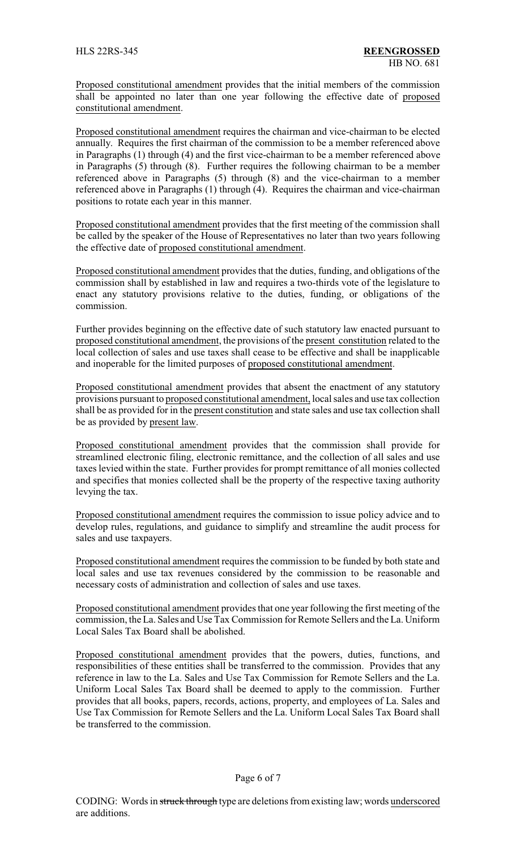Proposed constitutional amendment provides that the initial members of the commission shall be appointed no later than one year following the effective date of proposed constitutional amendment.

Proposed constitutional amendment requires the chairman and vice-chairman to be elected annually. Requires the first chairman of the commission to be a member referenced above in Paragraphs (1) through (4) and the first vice-chairman to be a member referenced above in Paragraphs (5) through (8). Further requires the following chairman to be a member referenced above in Paragraphs (5) through (8) and the vice-chairman to a member referenced above in Paragraphs (1) through (4). Requires the chairman and vice-chairman positions to rotate each year in this manner.

Proposed constitutional amendment provides that the first meeting of the commission shall be called by the speaker of the House of Representatives no later than two years following the effective date of proposed constitutional amendment.

Proposed constitutional amendment provides that the duties, funding, and obligations of the commission shall by established in law and requires a two-thirds vote of the legislature to enact any statutory provisions relative to the duties, funding, or obligations of the commission.

Further provides beginning on the effective date of such statutory law enacted pursuant to proposed constitutional amendment, the provisions of the present constitution related to the local collection of sales and use taxes shall cease to be effective and shall be inapplicable and inoperable for the limited purposes of proposed constitutional amendment.

Proposed constitutional amendment provides that absent the enactment of any statutory provisions pursuant to proposed constitutional amendment, local sales and use tax collection shall be as provided for in the present constitution and state sales and use tax collection shall be as provided by present law.

Proposed constitutional amendment provides that the commission shall provide for streamlined electronic filing, electronic remittance, and the collection of all sales and use taxes levied within the state. Further provides for prompt remittance of all monies collected and specifies that monies collected shall be the property of the respective taxing authority levying the tax.

Proposed constitutional amendment requires the commission to issue policy advice and to develop rules, regulations, and guidance to simplify and streamline the audit process for sales and use taxpayers.

Proposed constitutional amendment requires the commission to be funded by both state and local sales and use tax revenues considered by the commission to be reasonable and necessary costs of administration and collection of sales and use taxes.

Proposed constitutional amendment provides that one year following the first meeting of the commission, the La. Sales and Use Tax Commission for Remote Sellers and the La. Uniform Local Sales Tax Board shall be abolished.

Proposed constitutional amendment provides that the powers, duties, functions, and responsibilities of these entities shall be transferred to the commission. Provides that any reference in law to the La. Sales and Use Tax Commission for Remote Sellers and the La. Uniform Local Sales Tax Board shall be deemed to apply to the commission. Further provides that all books, papers, records, actions, property, and employees of La. Sales and Use Tax Commission for Remote Sellers and the La. Uniform Local Sales Tax Board shall be transferred to the commission.